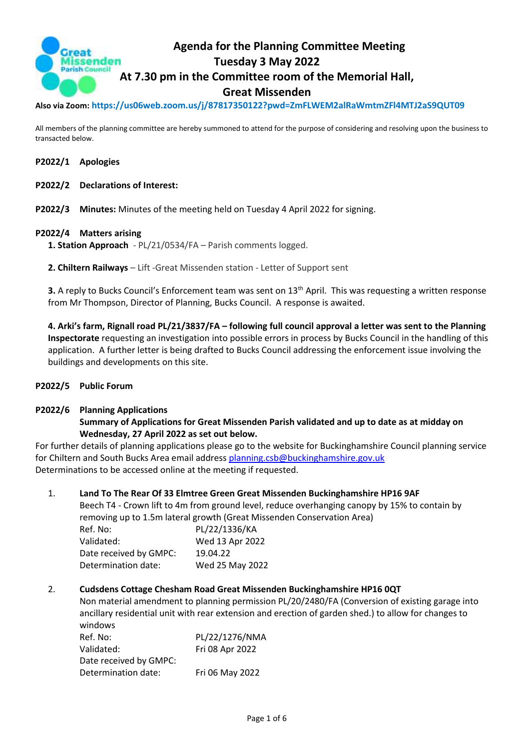

**Also via Zoom: https://us06web.zoom.us/j/87817350122?pwd=ZmFLWEM2alRaWmtmZFl4MTJ2aS9QUT09**

All members of the planning committee are hereby summoned to attend for the purpose of considering and resolving upon the business to transacted below.

- **P2022/1 Apologies**
- **P2022/2 Declarations of Interest:**
- **P2022/3 Minutes:** Minutes of the meeting held on Tuesday 4 April 2022 for signing.

#### **P2022/4 Matters arising**

**1. Station Approach** - PL/21/0534/FA – Parish comments logged.

**2. Chiltern Railways** – Lift -Great Missenden station - Letter of Support sent

**3.** A reply to Bucks Council's Enforcement team was sent on 13<sup>th</sup> April. This was requesting a written response from Mr Thompson, Director of Planning, Bucks Council. A response is awaited.

**4. Arki's farm, Rignall road PL/21/3837/FA – following full council approval a letter was sent to the Planning Inspectorate** requesting an investigation into possible errors in process by Bucks Council in the handling of this application. A further letter is being drafted to Bucks Council addressing the enforcement issue involving the buildings and developments on this site.

### **P2022/5 Public Forum**

#### **P2022/6 Planning Applications**

# **Summary of Applications for Great Missenden Parish validated and up to date as at midday on Wednesday, 27 April 2022 as set out below.**

For further details of planning applications please go to the website for Buckinghamshire Council planning service for Chiltern and South Bucks Area email address [planning.csb@buckinghamshire.gov.uk](mailto:planning.csb@buckinghamshire.gov.uk) Determinations to be accessed online at the meeting if requested.

1. **Land To The Rear Of 33 Elmtree Green Great Missenden Buckinghamshire HP16 9AF**

Beech T4 - Crown lift to 4m from ground level, reduce overhanging canopy by 15% to contain by removing up to 1.5m lateral growth (Great Missenden Conservation Area)

| Ref. No:               | PL/22/1336/KA   |
|------------------------|-----------------|
| Validated:             | Wed 13 Apr 2022 |
| Date received by GMPC: | 19.04.22        |
| Determination date:    | Wed 25 May 2022 |

#### 2. **Cudsdens Cottage Chesham Road Great Missenden Buckinghamshire HP16 0QT**

Non material amendment to planning permission PL/20/2480/FA (Conversion of existing garage into ancillary residential unit with rear extension and erection of garden shed.) to allow for changes to windows

| Ref. No:               | PL/22/1276/NMA  |
|------------------------|-----------------|
| Validated:             | Fri 08 Apr 2022 |
| Date received by GMPC: |                 |
| Determination date:    | Fri 06 May 2022 |
|                        |                 |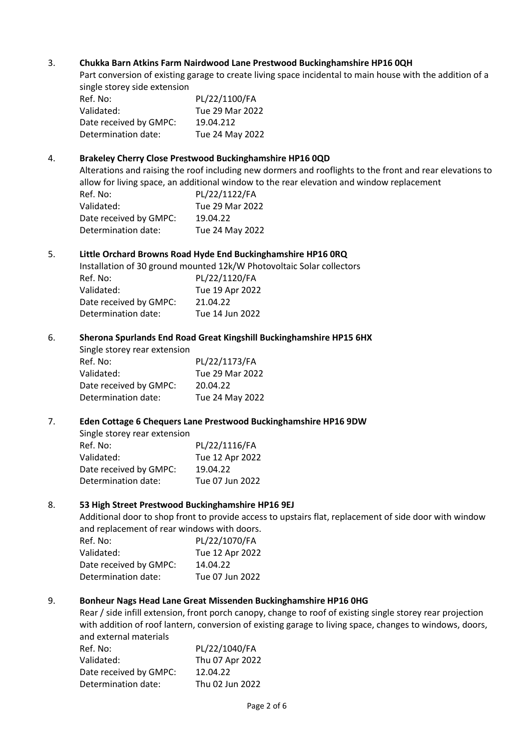### 3. **Chukka Barn Atkins Farm Nairdwood Lane Prestwood Buckinghamshire HP16 0QH**

Part conversion of existing garage to create living space incidental to main house with the addition of a single storey side extension

| Ref. No:               | PL/22/1100/FA   |
|------------------------|-----------------|
| Validated:             | Tue 29 Mar 2022 |
| Date received by GMPC: | 19.04.212       |
| Determination date:    | Tue 24 May 2022 |

#### 4. **Brakeley Cherry Close Prestwood Buckinghamshire HP16 0QD**

Alterations and raising the roof including new dormers and rooflights to the front and rear elevations to allow for living space, an additional window to the rear elevation and window replacement

| Ref. No:               | PL/22/1122/FA   |
|------------------------|-----------------|
| Validated:             | Tue 29 Mar 2022 |
| Date received by GMPC: | 19.04.22        |
| Determination date:    | Tue 24 May 2022 |

#### 5. **Little Orchard Browns Road Hyde End Buckinghamshire HP16 0RQ**

Installation of 30 ground mounted 12k/W Photovoltaic Solar collectors

| Ref. No:               | PL/22/1120/FA   |
|------------------------|-----------------|
| Validated:             | Tue 19 Apr 2022 |
| Date received by GMPC: | 21.04.22        |
| Determination date:    | Tue 14 Jun 2022 |

#### 6. **Sherona Spurlands End Road Great Kingshill Buckinghamshire HP15 6HX**

| Single storey rear extension |                 |
|------------------------------|-----------------|
| Ref. No:                     | PL/22/1173/FA   |
| Validated:                   | Tue 29 Mar 2022 |
| Date received by GMPC:       | 20.04.22        |
| Determination date:          | Tue 24 May 2022 |

#### 7. **Eden Cottage 6 Chequers Lane Prestwood Buckinghamshire HP16 9DW**

| Single storey rear extension |                 |
|------------------------------|-----------------|
| Ref. No:                     | PL/22/1116/FA   |
| Validated:                   | Tue 12 Apr 2022 |
| Date received by GMPC:       | 19.04.22        |
| Determination date:          | Tue 07 Jun 2022 |

#### 8. **53 High Street Prestwood Buckinghamshire HP16 9EJ**

Additional door to shop front to provide access to upstairs flat, replacement of side door with window and replacement of rear windows with doors.

| Ref. No:               | PL/22/1070/FA   |
|------------------------|-----------------|
| Validated:             | Tue 12 Apr 2022 |
| Date received by GMPC: | 14.04.22        |
| Determination date:    | Tue 07 Jun 2022 |

### 9. **Bonheur Nags Head Lane Great Missenden Buckinghamshire HP16 0HG**

Rear / side infill extension, front porch canopy, change to roof of existing single storey rear projection with addition of roof lantern, conversion of existing garage to living space, changes to windows, doors, and external materials

| Ref. No:               | PL/22/1040/FA   |
|------------------------|-----------------|
| Validated:             | Thu 07 Apr 2022 |
| Date received by GMPC: | 12.04.22        |
| Determination date:    | Thu 02 Jun 2022 |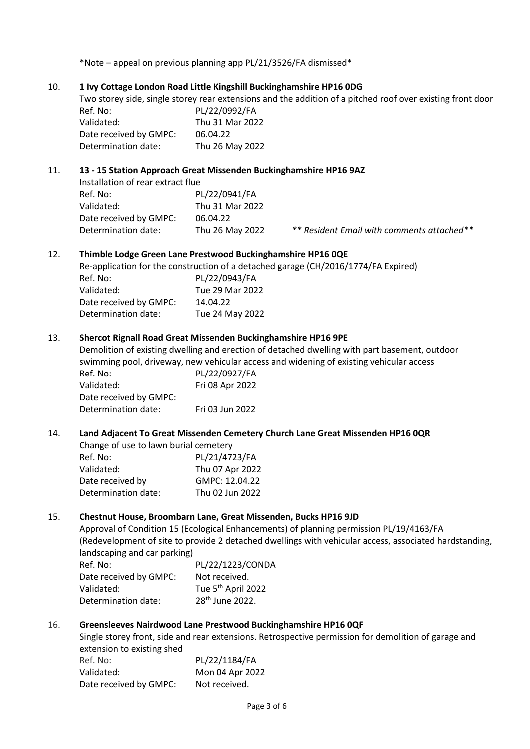\*Note – appeal on previous planning app PL/21/3526/FA dismissed\*

### 10. **1 Ivy Cottage London Road Little Kingshill Buckinghamshire HP16 0DG**

Two storey side, single storey rear extensions and the addition of a pitched roof over existing front door Ref. No: PL/22/0992/FA

| <b>NEI. IVU.</b>       | FLIZZIUJJZIFA   |
|------------------------|-----------------|
| Validated:             | Thu 31 Mar 2022 |
| Date received by GMPC: | 06.04.22        |
| Determination date:    | Thu 26 May 2022 |

### 11. **13 - 15 Station Approach Great Missenden Buckinghamshire HP16 9AZ**

| Installation of rear extract flue |
|-----------------------------------|
| PL/22/0941/FA                     |
| Thu 31 Mar 2022                   |
| 06.04.22                          |
| Thu 26 May 2022                   |
|                                   |

2 \*\* Resident Email with comments attached\*\*

#### 12. **Thimble Lodge Green Lane Prestwood Buckinghamshire HP16 0QE**

Re-application for the construction of a detached garage (CH/2016/1774/FA Expired)

| Ref. No:               | PL/22/0943/FA   |
|------------------------|-----------------|
| Validated:             | Tue 29 Mar 2022 |
| Date received by GMPC: | 14.04.22        |
| Determination date:    | Tue 24 May 2022 |

#### 13. **Shercot Rignall Road Great Missenden Buckinghamshire HP16 9PE**

Demolition of existing dwelling and erection of detached dwelling with part basement, outdoor swimming pool, driveway, new vehicular access and widening of existing vehicular access

| Ref. No:               | PL/22/0927/FA   |
|------------------------|-----------------|
| Validated:             | Fri 08 Apr 2022 |
| Date received by GMPC: |                 |
| Determination date:    | Fri 03 Jun 2022 |

### 14. **Land Adjacent To Great Missenden Cemetery Church Lane Great Missenden HP16 0QR**

| Change of use to lawn burial cemetery |                 |
|---------------------------------------|-----------------|
| Ref. No:                              | PL/21/4723/FA   |
| Validated:                            | Thu 07 Apr 2022 |
| Date received by                      | GMPC: 12.04.22  |
| Determination date:                   | Thu 02 Jun 2022 |

#### 15. **Chestnut House, Broombarn Lane, Great Missenden, Bucks HP16 9JD**

Approval of Condition 15 (Ecological Enhancements) of planning permission PL/19/4163/FA (Redevelopment of site to provide 2 detached dwellings with vehicular access, associated hardstanding, landscaping and car parking)

| Ref. No:               | PL/22/1223/CONDA               |
|------------------------|--------------------------------|
| Date received by GMPC: | Not received.                  |
| Validated:             | Tue 5 <sup>th</sup> April 2022 |
| Determination date:    | 28 <sup>th</sup> June 2022.    |

### 16. **Greensleeves Nairdwood Lane Prestwood Buckinghamshire HP16 0QF**

Single storey front, side and rear extensions. Retrospective permission for demolition of garage and extension to existing shed

| Ref. No:               | PL/22/1184/FA   |
|------------------------|-----------------|
| Validated:             | Mon 04 Apr 2022 |
| Date received by GMPC: | Not received.   |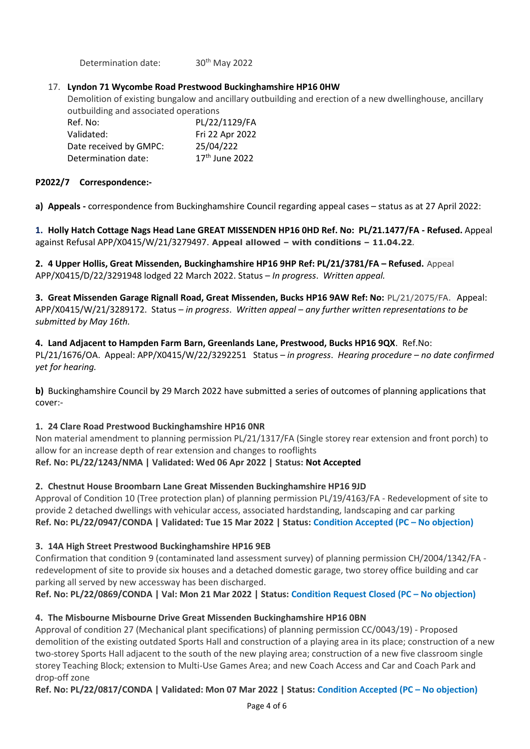Determination date: 30th May 2022

# 17. **Lyndon 71 Wycombe Road Prestwood Buckinghamshire HP16 0HW**

Demolition of existing bungalow and ancillary outbuilding and erection of a new dwellinghouse, ancillary outbuilding and associated operations

| Ref. No:               | PL/22/1129/FA              |
|------------------------|----------------------------|
| Validated:             | Fri 22 Apr 2022            |
| Date received by GMPC: | 25/04/222                  |
| Determination date:    | 17 <sup>th</sup> June 2022 |

### **P2022/7 Correspondence:-**

**a) Appeals -** correspondence from Buckinghamshire Council regarding appeal cases – status as at 27 April 2022:

**1. Holly Hatch Cottage Nags Head Lane GREAT MISSENDEN HP16 0HD Ref. No: PL/21.1477/FA - Refused.** Appeal against Refusal APP/X0415/W/21/3279497. **Appeal allowed – with conditions – 11.04.22***.*

**2. 4 Upper Hollis, Great Missenden, Buckinghamshire HP16 9HP Ref: PL/21/3781/FA – Refused.** Appeal APP/X0415/D/22/3291948 lodged 22 March 2022. Status – *In progress*. *Written appeal.*

**3. Great Missenden Garage Rignall Road, Great Missenden, Bucks HP16 9AW Ref: No:** PL/21/2075/FA. Appeal: APP/X0415/W/21/3289172. Status *– in progress*. *Written appeal – any further written representations to be submitted by May 16th.*

### **4. Land Adjacent to Hampden Farm Barn, Greenlands Lane, Prestwood, Bucks HP16 9QX**. Ref.No: PL/21/1676/OA. Appeal: APP/X0415/W/22/3292251 Status – *in progress*. *Hearing procedure – no date confirmed yet for hearing.*

**b)** Buckinghamshire Council by 29 March 2022 have submitted a series of outcomes of planning applications that cover:-

# **1. 24 Clare Road Prestwood Buckinghamshire HP16 0NR**

Non material amendment to planning permission PL/21/1317/FA (Single storey rear extension and front porch) to allow for an increase depth of rear extension and changes to rooflights

# **Ref. No: PL/22/1243/NMA | Validated: Wed 06 Apr 2022 | Status: Not Accepted**

# **2. Chestnut House Broombarn Lane Great Missenden Buckinghamshire HP16 9JD**

Approval of Condition 10 (Tree protection plan) of planning permission PL/19/4163/FA - Redevelopment of site to provide 2 detached dwellings with vehicular access, associated hardstanding, landscaping and car parking **Ref. No: PL/22/0947/CONDA | Validated: Tue 15 Mar 2022 | Status: Condition Accepted (PC – No objection)**

# **3. 14A High Street Prestwood Buckinghamshire HP16 9EB**

Confirmation that condition 9 (contaminated land assessment survey) of planning permission CH/2004/1342/FA redevelopment of site to provide six houses and a detached domestic garage, two storey office building and car parking all served by new accessway has been discharged.

**Ref. No: PL/22/0869/CONDA | Val: Mon 21 Mar 2022 | Status: Condition Request Closed (PC – No objection)**

# **4. The Misbourne Misbourne Drive Great Missenden Buckinghamshire HP16 0BN**

Approval of condition 27 (Mechanical plant specifications) of planning permission CC/0043/19) - Proposed demolition of the existing outdated Sports Hall and construction of a playing area in its place; construction of a new two-storey Sports Hall adjacent to the south of the new playing area; construction of a new five classroom single storey Teaching Block; extension to Multi-Use Games Area; and new Coach Access and Car and Coach Park and drop-off zone

**Ref. No: PL/22/0817/CONDA | Validated: Mon 07 Mar 2022 | Status: Condition Accepted (PC – No objection)**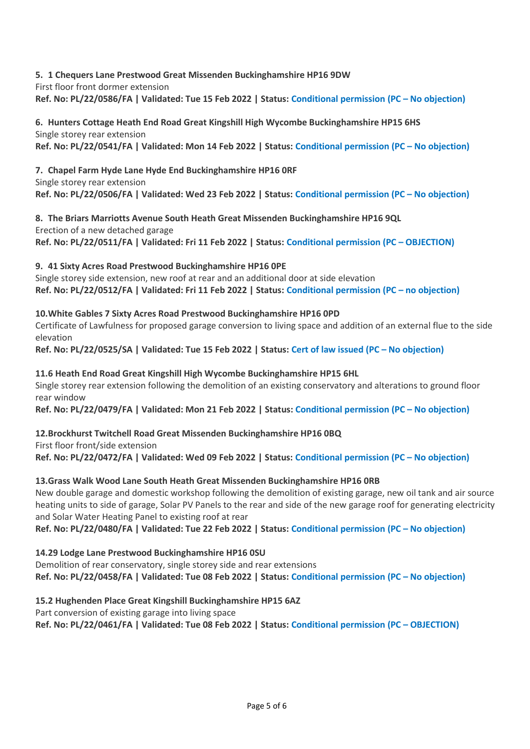# **5. 1 Chequers Lane Prestwood Great Missenden Buckinghamshire HP16 9DW**

First floor front dormer extension

**Ref. No: PL/22/0586/FA | Validated: Tue 15 Feb 2022 | Status: Conditional permission (PC – No objection)**

#### **6. Hunters Cottage Heath End Road Great Kingshill High Wycombe Buckinghamshire HP15 6HS** Single storey rear extension

**Ref. No: PL/22/0541/FA | Validated: Mon 14 Feb 2022 | Status: Conditional permission (PC – No objection)**

# **7. Chapel Farm Hyde Lane Hyde End Buckinghamshire HP16 0RF**

Single storey rear extension **Ref. No: PL/22/0506/FA | Validated: Wed 23 Feb 2022 | Status: Conditional permission (PC – No objection)**

**8. The Briars Marriotts Avenue South Heath Great Missenden Buckinghamshire HP16 9QL** Erection of a new detached garage **Ref. No: PL/22/0511/FA | Validated: Fri 11 Feb 2022 | Status: Conditional permission (PC – OBJECTION)**

# **9. 41 Sixty Acres Road Prestwood Buckinghamshire HP16 0PE**

Single storey side extension, new roof at rear and an additional door at side elevation **Ref. No: PL/22/0512/FA | Validated: Fri 11 Feb 2022 | Status: Conditional permission (PC – no objection)**

# **10.White Gables 7 Sixty Acres Road Prestwood Buckinghamshire HP16 0PD**

Certificate of Lawfulness for proposed garage conversion to living space and addition of an external flue to the side elevation

**Ref. No: PL/22/0525/SA | Validated: Tue 15 Feb 2022 | Status: Cert of law issued (PC – No objection)**

# **11.6 Heath End Road Great Kingshill High Wycombe Buckinghamshire HP15 6HL**

Single storey rear extension following the demolition of an existing conservatory and alterations to ground floor rear window

**Ref. No: PL/22/0479/FA | Validated: Mon 21 Feb 2022 | Status: Conditional permission (PC – No objection)**

# **12.Brockhurst Twitchell Road Great Missenden Buckinghamshire HP16 0BQ** First floor front/side extension **Ref. No: PL/22/0472/FA | Validated: Wed 09 Feb 2022 | Status: Conditional permission (PC – No objection)**

# **13.Grass Walk Wood Lane South Heath Great Missenden Buckinghamshire HP16 0RB**

New double garage and domestic workshop following the demolition of existing garage, new oil tank and air source heating units to side of garage, Solar PV Panels to the rear and side of the new garage roof for generating electricity and Solar Water Heating Panel to existing roof at rear

**Ref. No: PL/22/0480/FA | Validated: Tue 22 Feb 2022 | Status: Conditional permission (PC – No objection)**

# **14.29 Lodge Lane Prestwood Buckinghamshire HP16 0SU**

Demolition of rear conservatory, single storey side and rear extensions **Ref. No: PL/22/0458/FA | Validated: Tue 08 Feb 2022 | Status: Conditional permission (PC – No objection)**

# **15.2 Hughenden Place Great Kingshill Buckinghamshire HP15 6AZ**

Part conversion of existing garage into living space

**Ref. No: PL/22/0461/FA | Validated: Tue 08 Feb 2022 | Status: Conditional permission (PC – OBJECTION)**